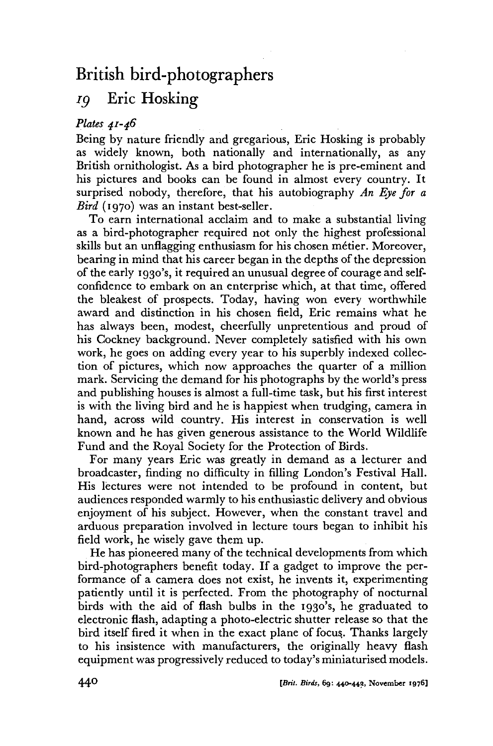## British bird-photographers

## *ig* Eric Hosking

## *Plates 41-46*

Being by nature friendly and gregarious, Eric Hosking is probably as widely known, both nationally and internationally, as any British ornithologist. As a bird photographer he is pre-eminent and his pictures and books can be found in almost every country. It surprised nobody, therefore, that his autobiography *An Eye for a Bird* (1970) was an instant best-seller.

To earn international acclaim and to make a substantial living as a bird-photographer required not only the highest professional skills but an unflagging enthusiasm for his chosen métier. Moreover, bearing in mind that his career began in the depths of the depression of the early 1930's, it required an unusual degree of courage and selfconfidence to embark on an enterprise which, at that time, offered the bleakest of prospects. Today, having won every worthwhile award and distinction in his chosen field, Eric remains what he has always been, modest, cheerfully unpretentious and proud of his Cockney background. Never completely satisfied with his own work, he goes on adding every year to his superbly indexed collection of pictures, which now approaches the quarter of a million mark. Servicing the demand for his photographs by the world's press and publishing houses is almost a full-time task, but his first interest is with the living bird and he is happiest when trudging, camera in hand, across wild country. His interest in conservation is well known and he has given generous assistance to the World Wildlife Fund and the Royal Society for the Protection of Birds.

For many years Eric was greatly in demand as a lecturer and broadcaster, finding no difficulty in filling London's Festival Hall. His lectures were not intended to be profound in content, but audiences responded warmly to his enthusiastic delivery and obvious enjoyment of his subject. However, when the constant travel and arduous preparation involved in lecture tours began to inhibit his field work, he wisely gave them up.

He has pioneered many of the technical developments from which bird-photographers benefit today. If a gadget to improve the performance of a camera does not exist, he invents it, experimenting patiently until it is perfected. From the photography of nocturnal birds with the aid of flash bulbs in the 1930's, he graduated to electronic flash, adapting a photo-electric shutter release so that the bird itself fired it when in the exact plane of focus,. Thanks largely to his insistence with manufacturers, the originally heavy flash equipment was progressively reduced to today's miniaturised models.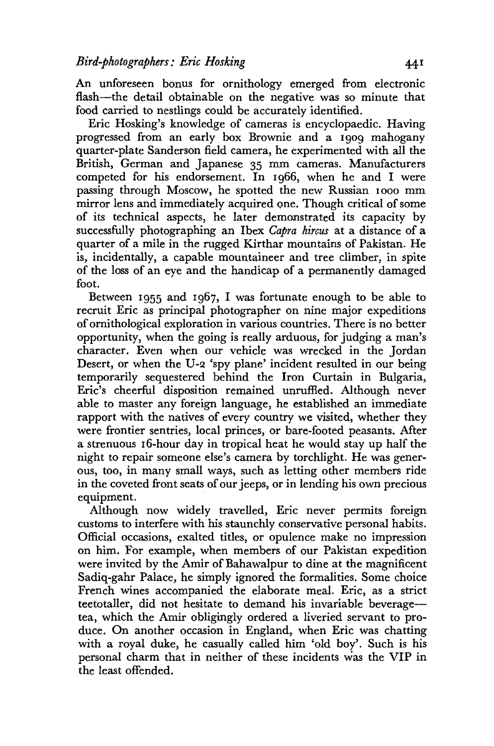An unforeseen bonus for ornithology emerged from electronic flash—the detail obtainable on the negative was so minute that food carried to nestlings could be accurately identified.

Eric Hosking's knowledge of cameras is encyclopaedic. Having progressed from an early box Brownie and a 1909 mahogany quarter-plate Sanderson field camera, he experimented with all the British, German and Japanese 35 mm cameras. Manufacturers competed for his endorsement. In 1966, when he and I were passing through Moscow, he spotted the new Russian iooo mm mirror lens and immediately acquired one. Though critical of some of its technical aspects, he later demonstrated its capacity by successfully photographing an Ibex *Capra hircus* at a distance of a quarter of a mile in the rugged Kirthar mountains of Pakistan. He is, incidentally, a capable mountaineer and tree climber, in spite of the loss of an eye and the handicap of a permanently damaged foot.

Between 1955 and 1967, I was fortunate enough to be able to recruit Eric as principal photographer on nine major expeditions of ornithological exploration in various countries. There is no better opportunity, when the going is really arduous, for judging a man's character. Even when our vehicle was wrecked in the Jordan Desert, or when the U-2 'spy plane' incident resulted in our being temporarily sequestered behind the Iron Curtain in Bulgaria, Eric's cheerful disposition remained unruffled. Although never able to master any foreign language, he established an immediate rapport with the natives of every country we visited, whether they were frontier sentries, local princes, or bare-footed peasants. After a strenuous 16-hour day in tropical heat he would stay up half the night to repair someone else's camera by torchlight. He was generous, too, in many small ways, such as letting other members ride in the coveted front seats of our jeeps, or in lending his own precious equipment.

Although now widely travelled, Eric never permits foreign customs to interfere with his staunchly conservative personal habits. Official occasions, exalted titles, or opulence make no impression on him. For example, when members of our Pakistan expedition were invited by the Amir of Bahawalpur to dine at the magnificent Sadiq-gahr Palace, he simply ignored the formalities. Some choice French wines accompanied the elaborate meal. Eric, as a strict teetotaller, did not hesitate to demand his invariable beverage tea, which die Amir obligingly ordered a liveried servant to produce. On another occasion in England, when Eric was chatting with a royal duke, he casually called him 'old boy'. Such is his personal charm that in neither of these incidents was the VIP in the least offended.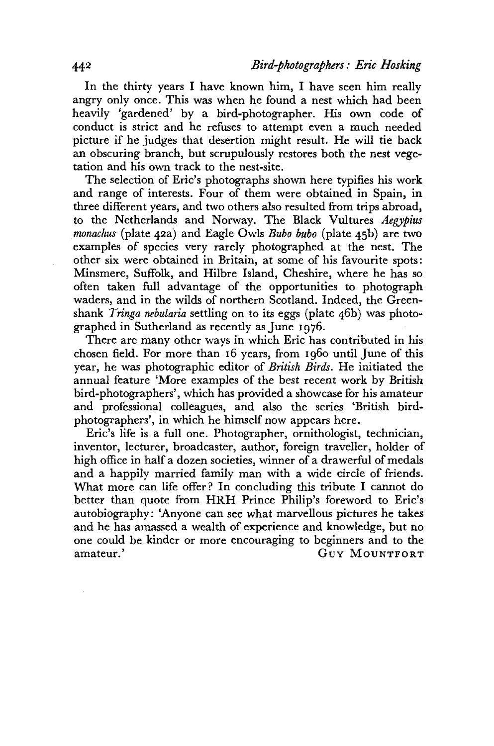In the thirty years I have known him, I have seen him really angry only once. This was when he found a nest which had been heavily 'gardened' by a bird-photographer. His own code of conduct is strict and he refuses to attempt even a much needed picture if he judges that desertion might result. He will tie back an obscuring branch, but scrupulously restores both the nest vegetation and his own track to the nest-site.

The selection of Eric's photographs shown here typifies his work and range of interests. Four of them were obtained in Spain, in three different years, and two others also resulted from trips abroad, to the Netherlands and Norway, The Black Vultures *Aegypius monachus* (plate 42a) and Eagle Owls *Bubo bubo* (plate 45b) are two examples of species very rarely photographed at the nest. The other six were obtained in Britain, at some of his favourite spots: Minsmere, Suffolk, and Hilbre Island, Cheshire, where he has so often taken full advantage of the opportunities to photograph waders, and in the wilds of northern Scotland. Indeed, the Greenshank *Tringa nebularia* settling on to its eggs (plate 46b) was photographed in Sutherland as recently as June 1976.

There are many other ways in which Eric has contributed in his chosen field. For more than 16 years, from i960 until June of this year, he was photographic editor of *British Birds.* He initiated the annual feature 'More examples of the best recent work by British bird-photographers', which has provided a showcase for his amateur and professional colleagues, and also the series 'British birdphotographers', in which he himself now appears here.

Eric's life is a full one. Photographer, ornithologist, technician, inventor, lecturer, broadcaster, author, foreign traveller, holder of high office in half a dozen societies, winner of a drawerful of medals and a happily married family man with a wide circle of friends. What more can life offer? In concluding this tribute I cannot do better than quote from HRH Prince Philip's foreword to Eric's autobiography: 'Anyone can see what marvellous pictures he takes and he has amassed a wealth of experience and knowledge, but no one could be kinder or more encouraging to beginners and to the amateur.' GUY MOUNTFORT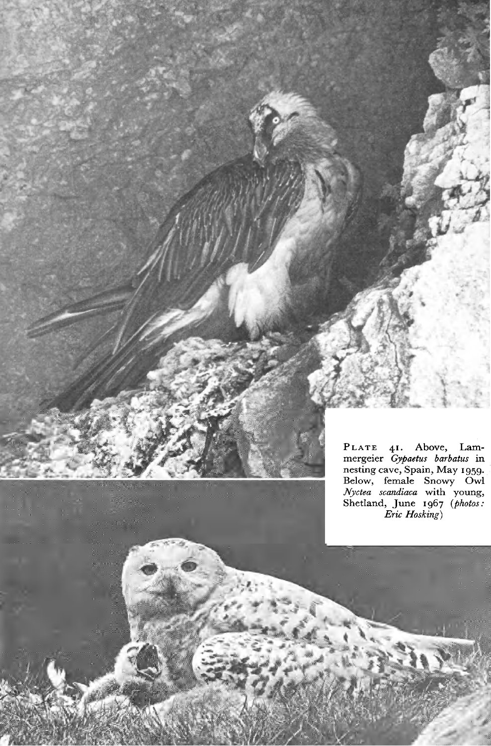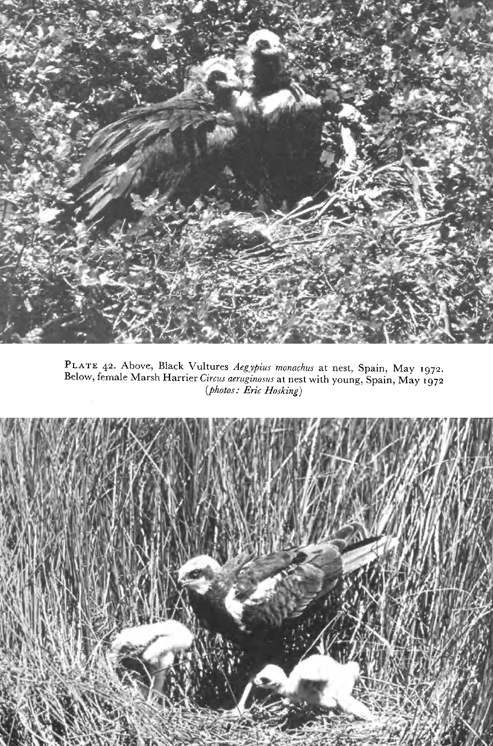

PLAT E 42. Above, Black Vultures *Aegypius monachus* at nest, Spain, May **1972.**  Below, female Marsh Harrier *Circus aeruginosus* at nest with young, Spain, May 1972 *(photos: Eric Hosking)* 

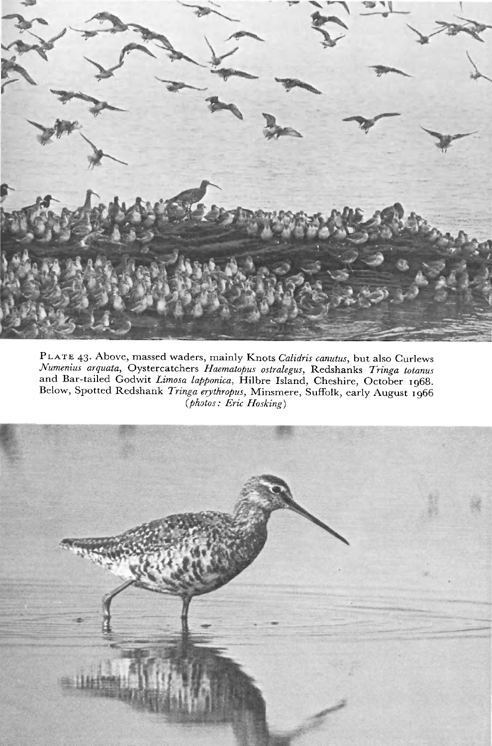

PLAT E 43. Above, massed waders, mainly Knots *Calidris canutus,* but also Curlews *Numenius arquata,* Oystercatchers *Haematopus ostralegus,* Redshanks *Tringa totanus*  and Bar-tailed Godwit Limosa lapponica, Hilbre Island, Cheshire, October 1968. Below, Spotted Redshank *Tringa erythropus,* Minsmere, Suffolk, early August 1966 *(photos: Eric Hosking)* 

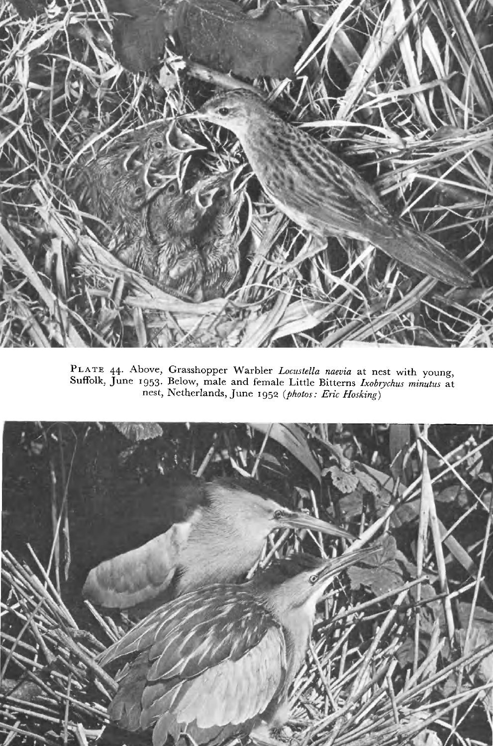

PLAT E 44. Above, Grasshopper Warbler *Locustella naevia* at nest with young, Suffolk, June 1953. Below, male and female Little Bitterns *Ixobrychus minutus* at nest, Netherlands, June 1952 (*photos: Eric Hosking*)

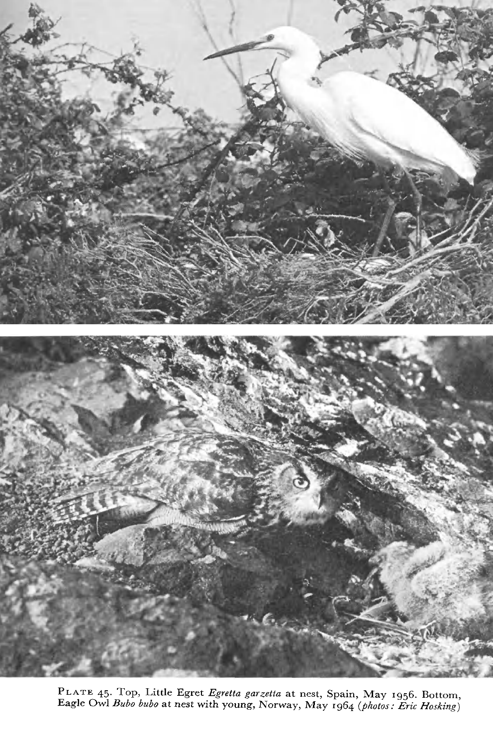

PLAT E 45. Top, Little Egret *Egretta garzetta* at nest, Spain, May 1956. Bottom, Eagle Owl *Bubo bubo* at nest with young, Norway, May 1964 *(photos: Eric Hosking)*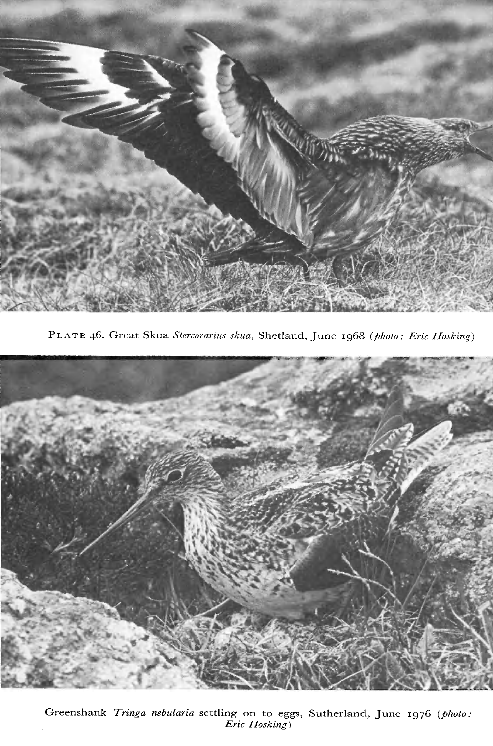

PLATE 46. Great Skua Stercorarius skua, Shetland, June 1968 (photo: Eric Hosking)



Greenshank *Tringa nebularia* settling on to eggs, Sutherland, June 1976 (photo: *Eric Hosking')*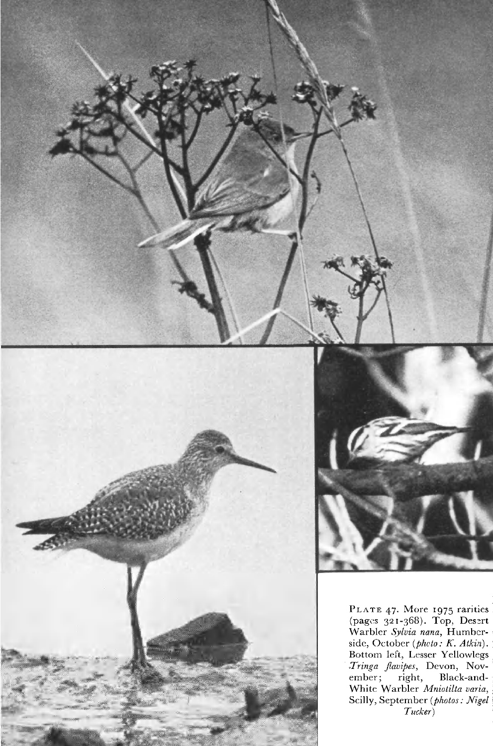



PLATE 47. More 1975 rarities (pages 321-368). Top, Desert Warbler *Sylvia nana,* Humbcrside, October *(pkcto: K. Atkin).*  Bottom left, Lesser Yellowlegs *Xringa fiavipes,* Devon, November; right, Black-and-White Warbler *Mniotilta varia,*  Scilly, September *(photos: Nigel Tucker)*